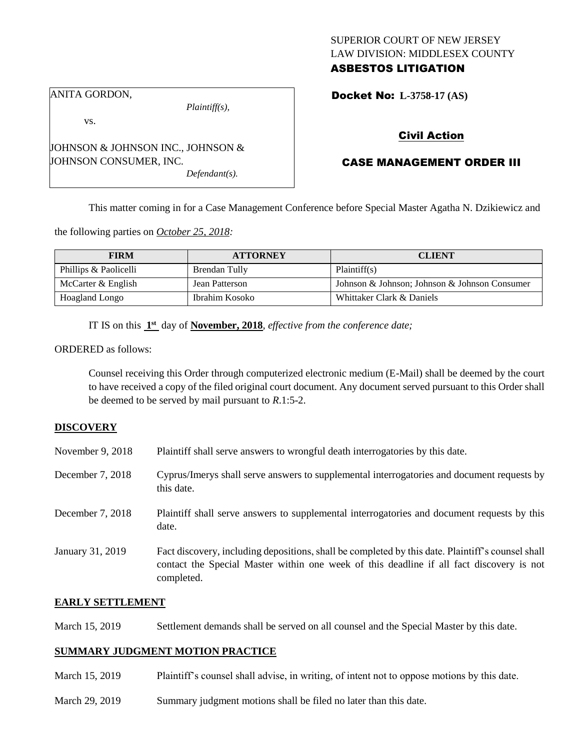## SUPERIOR COURT OF NEW JERSEY LAW DIVISION: MIDDLESEX COUNTY ASBESTOS LITIGATION

ANITA GORDON,

*Plaintiff(s),*

vs.

JOHNSON & JOHNSON INC., JOHNSON & JOHNSON CONSUMER, INC.

*Defendant(s).*

Docket No: **L-3758-17 (AS)** 

## Civil Action

# CASE MANAGEMENT ORDER III

This matter coming in for a Case Management Conference before Special Master Agatha N. Dzikiewicz and

the following parties on *October 25, 2018:*

| <b>FIRM</b>           | <b>ATTORNEY</b> | <b>CLIENT</b>                                 |
|-----------------------|-----------------|-----------------------------------------------|
| Phillips & Paolicelli | Brendan Tully   | Plaintiff(s)                                  |
| McCarter & English    | Jean Patterson  | Johnson & Johnson; Johnson & Johnson Consumer |
| Hoagland Longo        | Ibrahim Kosoko  | Whittaker Clark & Daniels                     |

IT IS on this  $1<sup>st</sup>$  day of **November, 2018**, *effective from the conference date*;

ORDERED as follows:

Counsel receiving this Order through computerized electronic medium (E-Mail) shall be deemed by the court to have received a copy of the filed original court document. Any document served pursuant to this Order shall be deemed to be served by mail pursuant to *R*.1:5-2.

## **DISCOVERY**

| November 9, 2018 | Plaintiff shall serve answers to wrongful death interrogatories by this date.                                                                                                                               |
|------------------|-------------------------------------------------------------------------------------------------------------------------------------------------------------------------------------------------------------|
| December 7, 2018 | Cyprus/Imerys shall serve answers to supplemental interrogatories and document requests by<br>this date.                                                                                                    |
| December 7, 2018 | Plaintiff shall serve answers to supplemental interrogatories and document requests by this<br>date.                                                                                                        |
| January 31, 2019 | Fact discovery, including depositions, shall be completed by this date. Plaintiff's counsel shall<br>contact the Special Master within one week of this deadline if all fact discovery is not<br>completed. |

## **EARLY SETTLEMENT**

March 15, 2019 Settlement demands shall be served on all counsel and the Special Master by this date.

## **SUMMARY JUDGMENT MOTION PRACTICE**

- March 15, 2019 Plaintiff's counsel shall advise, in writing, of intent not to oppose motions by this date.
- March 29, 2019 Summary judgment motions shall be filed no later than this date.